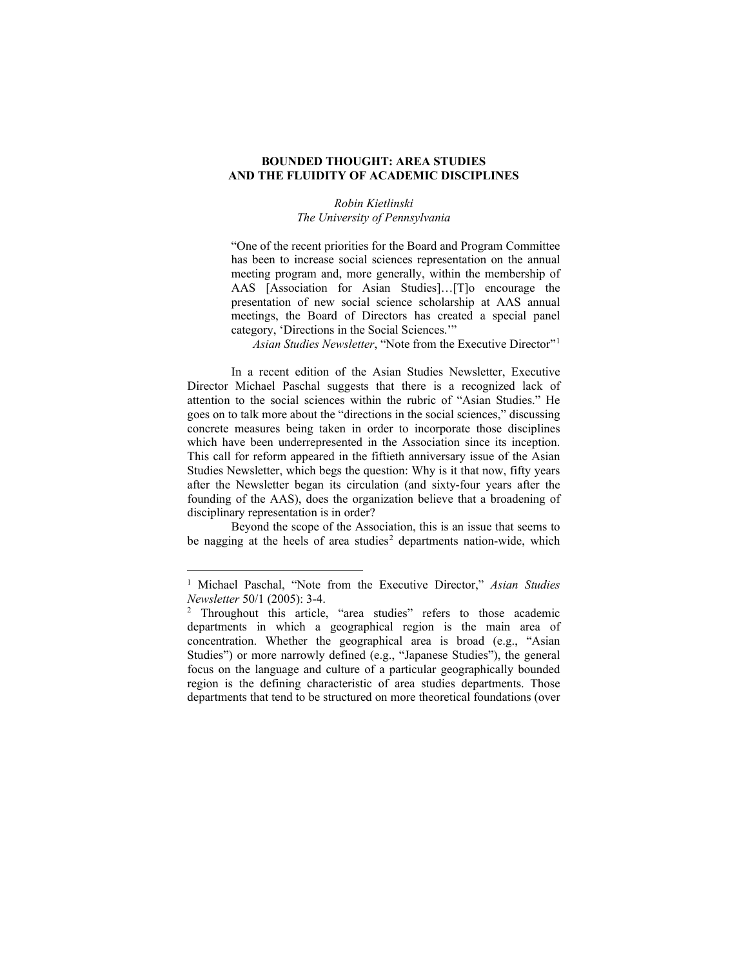## **BOUNDED THOUGHT: AREA STUDIES AND THE FLUIDITY OF ACADEMIC DISCIPLINES**

## *Robin Kietlinski The University of Pennsylvania*

"One of the recent priorities for the Board and Program Committee has been to increase social sciences representation on the annual meeting program and, more generally, within the membership of AAS [Association for Asian Studies]…[T]o encourage the presentation of new social science scholarship at AAS annual meetings, the Board of Directors has created a special panel category, 'Directions in the Social Sciences.'"

*Asian Studies Newsletter*, "Note from the Executive Director"[1](#page-0-0)

In a recent edition of the Asian Studies Newsletter, Executive Director Michael Paschal suggests that there is a recognized lack of attention to the social sciences within the rubric of "Asian Studies." He goes on to talk more about the "directions in the social sciences," discussing concrete measures being taken in order to incorporate those disciplines which have been underrepresented in the Association since its inception. This call for reform appeared in the fiftieth anniversary issue of the Asian Studies Newsletter, which begs the question: Why is it that now, fifty years after the Newsletter began its circulation (and sixty-four years after the founding of the AAS), does the organization believe that a broadening of disciplinary representation is in order?

Beyond the scope of the Association, this is an issue that seems to be nagging at the heels of area studies<sup>[2](#page-0-1)</sup> departments nation-wide, which

<span id="page-0-0"></span><sup>1</sup> Michael Paschal, "Note from the Executive Director," *Asian Studies Newsletter* 50/1 (2005): 3-4.

<span id="page-0-1"></span><sup>&</sup>lt;sup>2</sup> Throughout this article, "area studies" refers to those academic departments in which a geographical region is the main area of concentration. Whether the geographical area is broad (e.g., "Asian Studies") or more narrowly defined (e.g., "Japanese Studies"), the general focus on the language and culture of a particular geographically bounded region is the defining characteristic of area studies departments. Those departments that tend to be structured on more theoretical foundations (over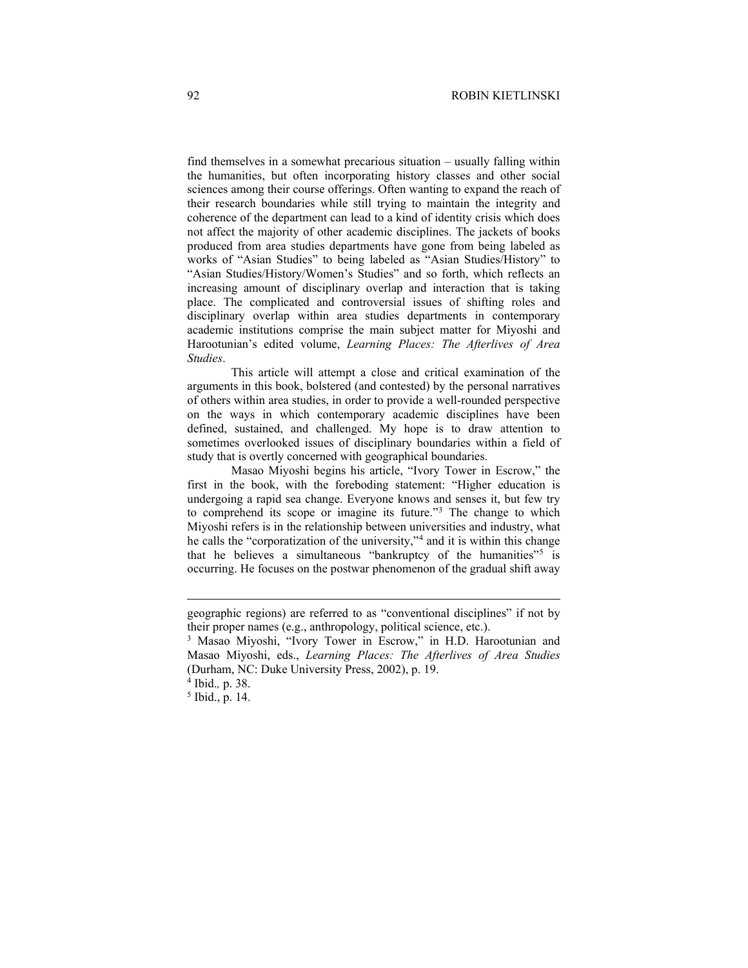find themselves in a somewhat precarious situation – usually falling within the humanities, but often incorporating history classes and other social sciences among their course offerings. Often wanting to expand the reach of their research boundaries while still trying to maintain the integrity and coherence of the department can lead to a kind of identity crisis which does not affect the majority of other academic disciplines. The jackets of books produced from area studies departments have gone from being labeled as works of "Asian Studies" to being labeled as "Asian Studies/History" to "Asian Studies/History/Women's Studies" and so forth, which reflects an increasing amount of disciplinary overlap and interaction that is taking place. The complicated and controversial issues of shifting roles and disciplinary overlap within area studies departments in contemporary academic institutions comprise the main subject matter for Miyoshi and Harootunian's edited volume, *Learning Places: The Afterlives of Area Studies*.

This article will attempt a close and critical examination of the arguments in this book, bolstered (and contested) by the personal narratives of others within area studies, in order to provide a well-rounded perspective on the ways in which contemporary academic disciplines have been defined, sustained, and challenged. My hope is to draw attention to sometimes overlooked issues of disciplinary boundaries within a field of study that is overtly concerned with geographical boundaries.

Masao Miyoshi begins his article, "Ivory Tower in Escrow," the first in the book, with the foreboding statement: "Higher education is undergoing a rapid sea change. Everyone knows and senses it, but few try to comprehend its scope or imagine its future."[3](#page-1-0) The change to which Miyoshi refers is in the relationship between universities and industry, what he calls the "corporatization of the university,"[4](#page-1-1) and it is within this change that he believes a simultaneous "bankruptcy of the humanities"<sup>[5](#page-1-2)</sup> is occurring. He focuses on the postwar phenomenon of the gradual shift away

geographic regions) are referred to as "conventional disciplines" if not by their proper names (e.g., anthropology, political science, etc.).

<span id="page-1-0"></span><sup>&</sup>lt;sup>3</sup> Masao Miyoshi, "Ivory Tower in Escrow," in H.D. Harootunian and Masao Miyoshi, eds., *Learning Places: The Afterlives of Area Studies* (Durham, NC: Duke University Press, 2002), p. 19.

<sup>4</sup> Ibid.*,* p. 38.

<span id="page-1-2"></span><span id="page-1-1"></span> $<sup>5</sup>$  Ibid., p. 14.</sup>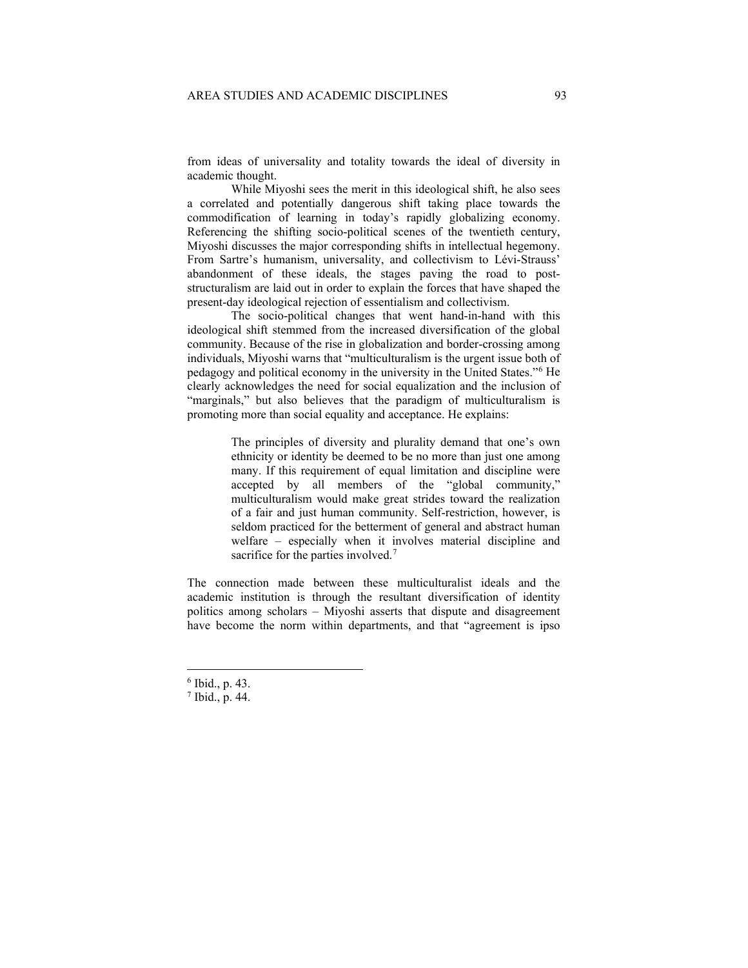from ideas of universality and totality towards the ideal of diversity in academic thought.

While Miyoshi sees the merit in this ideological shift, he also sees a correlated and potentially dangerous shift taking place towards the commodification of learning in today's rapidly globalizing economy. Referencing the shifting socio-political scenes of the twentieth century, Miyoshi discusses the major corresponding shifts in intellectual hegemony. From Sartre's humanism, universality, and collectivism to Lévi-Strauss' abandonment of these ideals, the stages paving the road to poststructuralism are laid out in order to explain the forces that have shaped the present-day ideological rejection of essentialism and collectivism.

The socio-political changes that went hand-in-hand with this ideological shift stemmed from the increased diversification of the global community. Because of the rise in globalization and border-crossing among individuals, Miyoshi warns that "multiculturalism is the urgent issue both of pedagogy and political economy in the university in the United States."[6](#page-2-0) He clearly acknowledges the need for social equalization and the inclusion of "marginals," but also believes that the paradigm of multiculturalism is promoting more than social equality and acceptance. He explains:

> The principles of diversity and plurality demand that one's own ethnicity or identity be deemed to be no more than just one among many. If this requirement of equal limitation and discipline were accepted by all members of the "global community," multiculturalism would make great strides toward the realization of a fair and just human community. Self-restriction, however, is seldom practiced for the betterment of general and abstract human welfare – especially when it involves material discipline and sacrifice for the parties involved.<sup>[7](#page-2-1)</sup>

The connection made between these multiculturalist ideals and the academic institution is through the resultant diversification of identity politics among scholars – Miyoshi asserts that dispute and disagreement have become the norm within departments, and that "agreement is ipso

<span id="page-2-0"></span> $6$  Ibid., p. 43.

<span id="page-2-1"></span><sup>7</sup> Ibid., p. 44.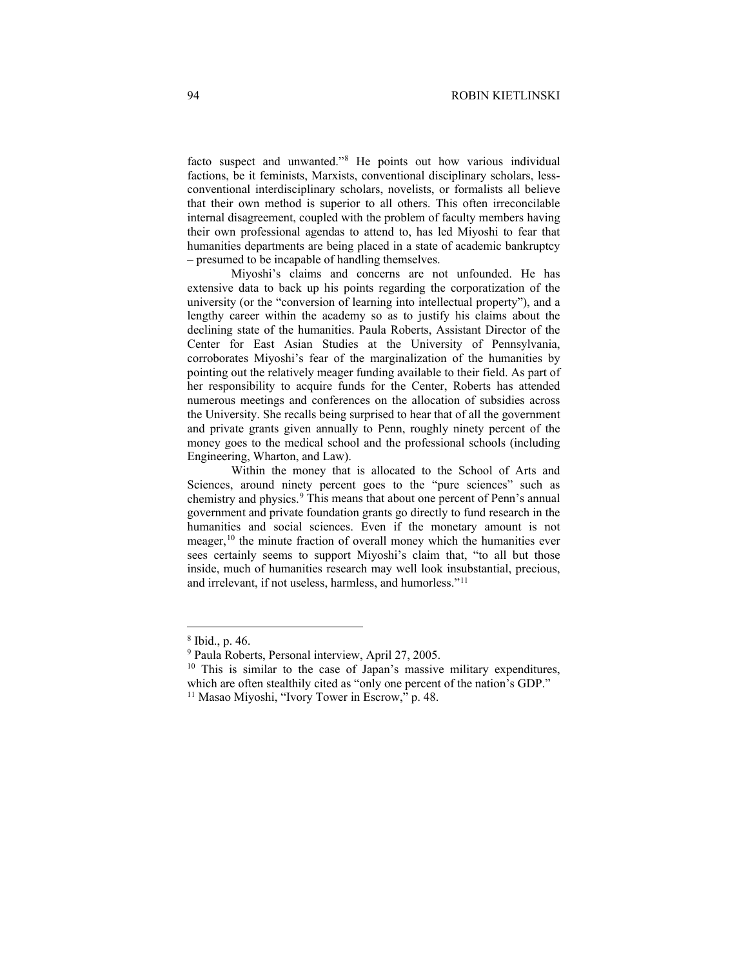facto suspect and unwanted."[8](#page-3-0) He points out how various individual factions, be it feminists, Marxists, conventional disciplinary scholars, lessconventional interdisciplinary scholars, novelists, or formalists all believe that their own method is superior to all others. This often irreconcilable internal disagreement, coupled with the problem of faculty members having their own professional agendas to attend to, has led Miyoshi to fear that humanities departments are being placed in a state of academic bankruptcy – presumed to be incapable of handling themselves.

Miyoshi's claims and concerns are not unfounded. He has extensive data to back up his points regarding the corporatization of the university (or the "conversion of learning into intellectual property"), and a lengthy career within the academy so as to justify his claims about the declining state of the humanities. Paula Roberts, Assistant Director of the Center for East Asian Studies at the University of Pennsylvania, corroborates Miyoshi's fear of the marginalization of the humanities by pointing out the relatively meager funding available to their field. As part of her responsibility to acquire funds for the Center, Roberts has attended numerous meetings and conferences on the allocation of subsidies across the University. She recalls being surprised to hear that of all the government and private grants given annually to Penn, roughly ninety percent of the money goes to the medical school and the professional schools (including Engineering, Wharton, and Law).

Within the money that is allocated to the School of Arts and Sciences, around ninety percent goes to the "pure sciences" such as chemistry and physics.<sup>[9](#page-3-1)</sup> This means that about one percent of Penn's annual government and private foundation grants go directly to fund research in the humanities and social sciences. Even if the monetary amount is not meager,<sup>[10](#page-3-2)</sup> the minute fraction of overall money which the humanities ever sees certainly seems to support Miyoshi's claim that, "to all but those inside, much of humanities research may well look insubstantial, precious, and irrelevant, if not useless, harmless, and humorless."[11](#page-3-3)

<span id="page-3-1"></span><span id="page-3-0"></span> $^8$  Ibid., p. 46.<br> $^9$  Paula Roberts, Personal interview, April 27, 2005.

<span id="page-3-2"></span> $10$  This is similar to the case of Japan's massive military expenditures, which are often stealthily cited as "only one percent of the nation's GDP."

<span id="page-3-3"></span><sup>&</sup>lt;sup>11</sup> Masao Miyoshi, "Ivory Tower in Escrow," p. 48.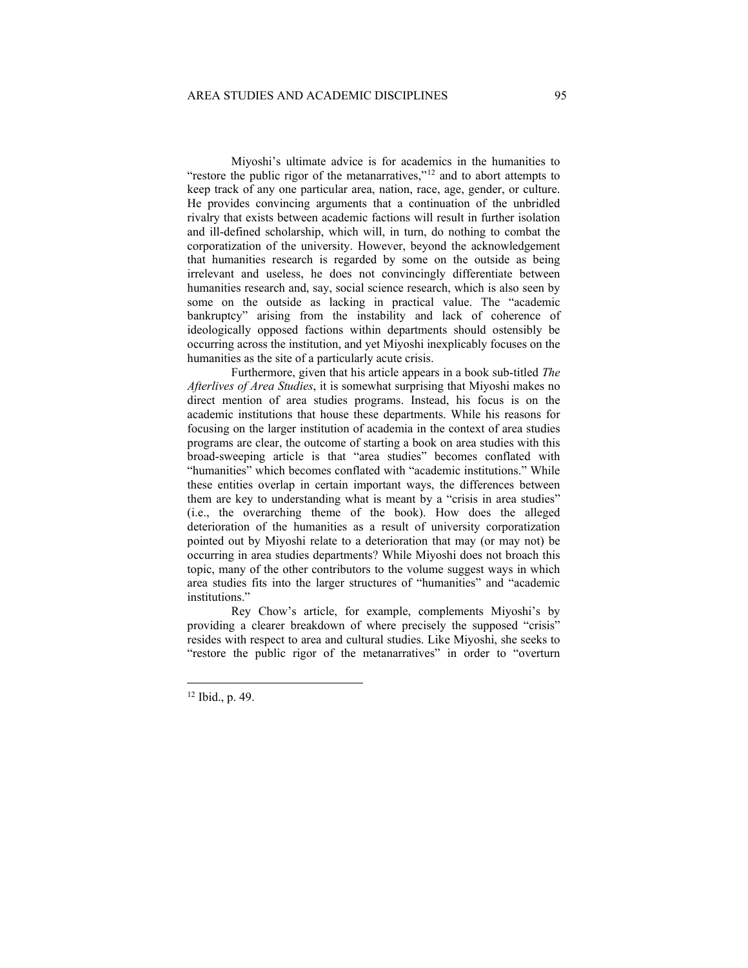Miyoshi's ultimate advice is for academics in the humanities to "restore the public rigor of the metanarratives,"<sup>[12](#page-4-0)</sup> and to abort attempts to keep track of any one particular area, nation, race, age, gender, or culture. He provides convincing arguments that a continuation of the unbridled rivalry that exists between academic factions will result in further isolation and ill-defined scholarship, which will, in turn, do nothing to combat the corporatization of the university. However, beyond the acknowledgement that humanities research is regarded by some on the outside as being irrelevant and useless, he does not convincingly differentiate between humanities research and, say, social science research, which is also seen by some on the outside as lacking in practical value. The "academic bankruptcy" arising from the instability and lack of coherence of ideologically opposed factions within departments should ostensibly be occurring across the institution, and yet Miyoshi inexplicably focuses on the humanities as the site of a particularly acute crisis.

Furthermore, given that his article appears in a book sub-titled *The Afterlives of Area Studies*, it is somewhat surprising that Miyoshi makes no direct mention of area studies programs. Instead, his focus is on the academic institutions that house these departments. While his reasons for focusing on the larger institution of academia in the context of area studies programs are clear, the outcome of starting a book on area studies with this broad-sweeping article is that "area studies" becomes conflated with "humanities" which becomes conflated with "academic institutions." While these entities overlap in certain important ways, the differences between them are key to understanding what is meant by a "crisis in area studies" (i.e., the overarching theme of the book). How does the alleged deterioration of the humanities as a result of university corporatization pointed out by Miyoshi relate to a deterioration that may (or may not) be occurring in area studies departments? While Miyoshi does not broach this topic, many of the other contributors to the volume suggest ways in which area studies fits into the larger structures of "humanities" and "academic institutions."

Rey Chow's article, for example, complements Miyoshi's by providing a clearer breakdown of where precisely the supposed "crisis" resides with respect to area and cultural studies. Like Miyoshi, she seeks to "restore the public rigor of the metanarratives" in order to "overturn

<span id="page-4-0"></span><sup>12</sup> Ibid., p. 49.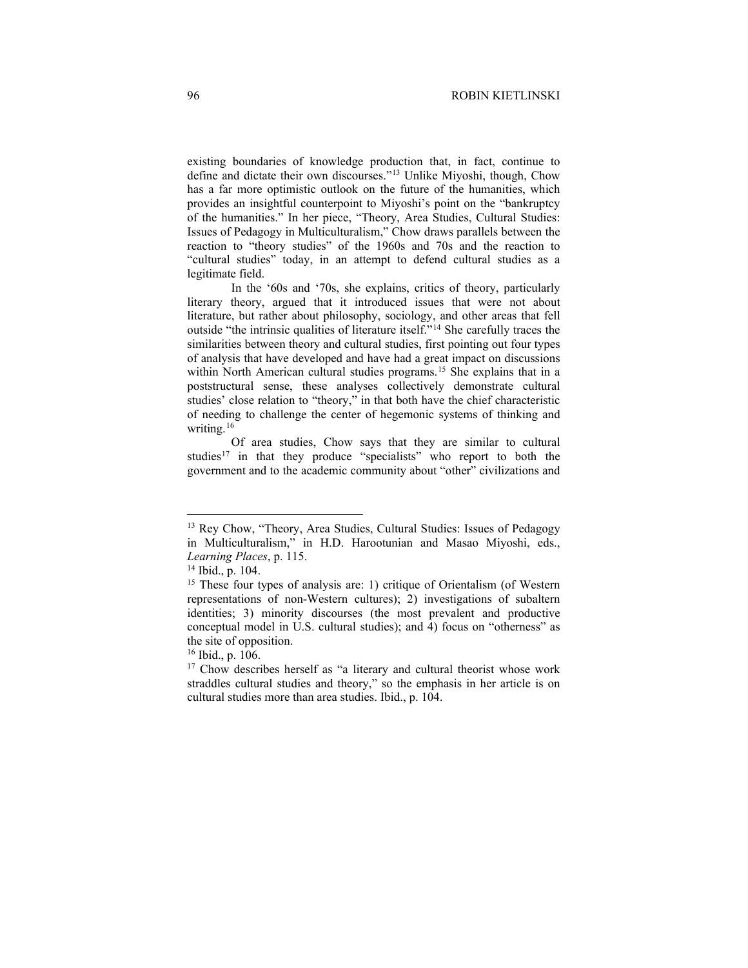existing boundaries of knowledge production that, in fact, continue to define and dictate their own discourses."[13](#page-5-0) Unlike Miyoshi, though, Chow has a far more optimistic outlook on the future of the humanities, which provides an insightful counterpoint to Miyoshi's point on the "bankruptcy of the humanities." In her piece, "Theory, Area Studies, Cultural Studies: Issues of Pedagogy in Multiculturalism," Chow draws parallels between the reaction to "theory studies" of the 1960s and 70s and the reaction to "cultural studies" today, in an attempt to defend cultural studies as a legitimate field.

In the '60s and '70s, she explains, critics of theory, particularly literary theory, argued that it introduced issues that were not about literature, but rather about philosophy, sociology, and other areas that fell outside "the intrinsic qualities of literature itself."[14](#page-5-1) She carefully traces the similarities between theory and cultural studies, first pointing out four types of analysis that have developed and have had a great impact on discussions within North American cultural studies programs.<sup>[15](#page-5-2)</sup> She explains that in a poststructural sense, these analyses collectively demonstrate cultural studies' close relation to "theory," in that both have the chief characteristic of needing to challenge the center of hegemonic systems of thinking and writing.<sup>[16](#page-5-3)</sup>

Of area studies, Chow says that they are similar to cultural studies<sup>[17](#page-5-4)</sup> in that they produce "specialists" who report to both the government and to the academic community about "other" civilizations and

<span id="page-5-0"></span><sup>13</sup> Rey Chow, "Theory, Area Studies, Cultural Studies: Issues of Pedagogy in Multiculturalism," in H.D. Harootunian and Masao Miyoshi, eds., *Learning Places*, p. 115.

<span id="page-5-1"></span><sup>14</sup> Ibid., p. 104.

<span id="page-5-2"></span><sup>&</sup>lt;sup>15</sup> These four types of analysis are: 1) critique of Orientalism (of Western representations of non-Western cultures); 2) investigations of subaltern identities; 3) minority discourses (the most prevalent and productive conceptual model in U.S. cultural studies); and 4) focus on "otherness" as the site of opposition.

<span id="page-5-3"></span><sup>16</sup> Ibid., p. 106.

<span id="page-5-4"></span><sup>&</sup>lt;sup>17</sup> Chow describes herself as "a literary and cultural theorist whose work straddles cultural studies and theory," so the emphasis in her article is on cultural studies more than area studies. Ibid., p. 104.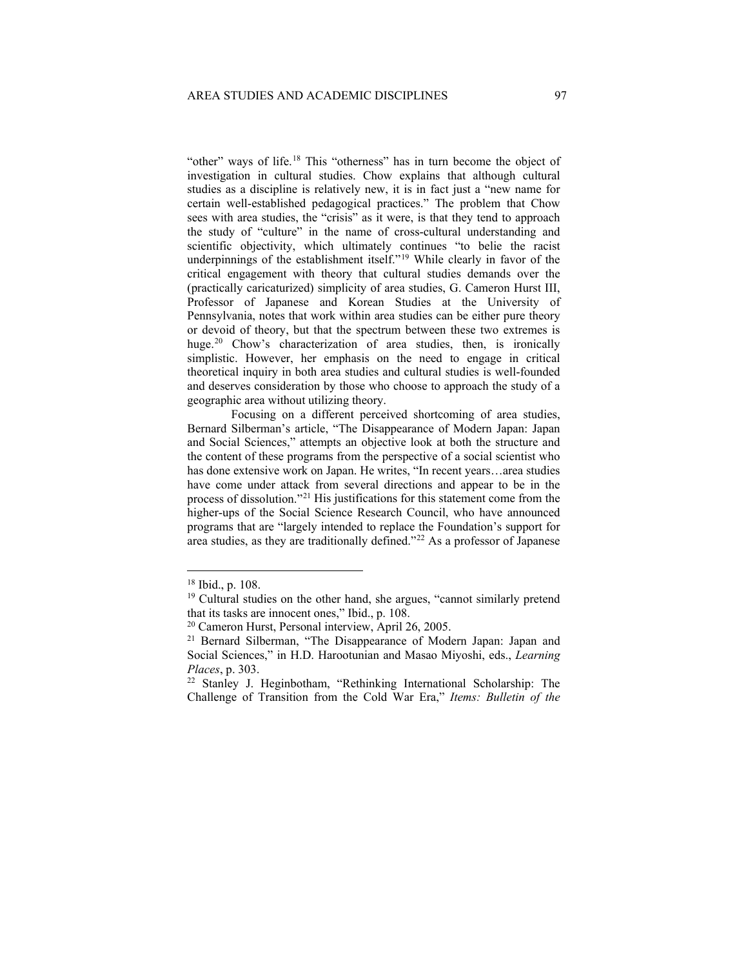"other" ways of life.<sup>[18](#page-6-0)</sup> This "otherness" has in turn become the object of investigation in cultural studies. Chow explains that although cultural studies as a discipline is relatively new, it is in fact just a "new name for certain well-established pedagogical practices." The problem that Chow sees with area studies, the "crisis" as it were, is that they tend to approach the study of "culture" in the name of cross-cultural understanding and scientific objectivity, which ultimately continues "to belie the racist underpinnings of the establishment itself."<sup>[19](#page-6-1)</sup> While clearly in favor of the critical engagement with theory that cultural studies demands over the (practically caricaturized) simplicity of area studies, G. Cameron Hurst III, Professor of Japanese and Korean Studies at the University of Pennsylvania, notes that work within area studies can be either pure theory or devoid of theory, but that the spectrum between these two extremes is huge.<sup>[20](#page-6-2)</sup> Chow's characterization of area studies, then, is ironically simplistic. However, her emphasis on the need to engage in critical theoretical inquiry in both area studies and cultural studies is well-founded and deserves consideration by those who choose to approach the study of a geographic area without utilizing theory.

Focusing on a different perceived shortcoming of area studies, Bernard Silberman's article, "The Disappearance of Modern Japan: Japan and Social Sciences," attempts an objective look at both the structure and the content of these programs from the perspective of a social scientist who has done extensive work on Japan. He writes, "In recent years…area studies have come under attack from several directions and appear to be in the process of dissolution."[21](#page-6-3) His justifications for this statement come from the higher-ups of the Social Science Research Council, who have announced programs that are "largely intended to replace the Foundation's support for area studies, as they are traditionally defined."<sup>[22](#page-6-4)</sup> As a professor of Japanese

<span id="page-6-0"></span><sup>18</sup> Ibid., p. 108.

<span id="page-6-1"></span><sup>&</sup>lt;sup>19</sup> Cultural studies on the other hand, she argues, "cannot similarly pretend that its tasks are innocent ones," Ibid., p. 108.

<span id="page-6-2"></span><sup>20</sup> Cameron Hurst, Personal interview, April 26, 2005.

<span id="page-6-3"></span><sup>&</sup>lt;sup>21</sup> Bernard Silberman, "The Disappearance of Modern Japan: Japan and Social Sciences," in H.D. Harootunian and Masao Miyoshi, eds., *Learning Places*, p. 303.

<span id="page-6-4"></span><sup>22</sup> Stanley J. Heginbotham, "Rethinking International Scholarship: The Challenge of Transition from the Cold War Era," *Items: Bulletin of the*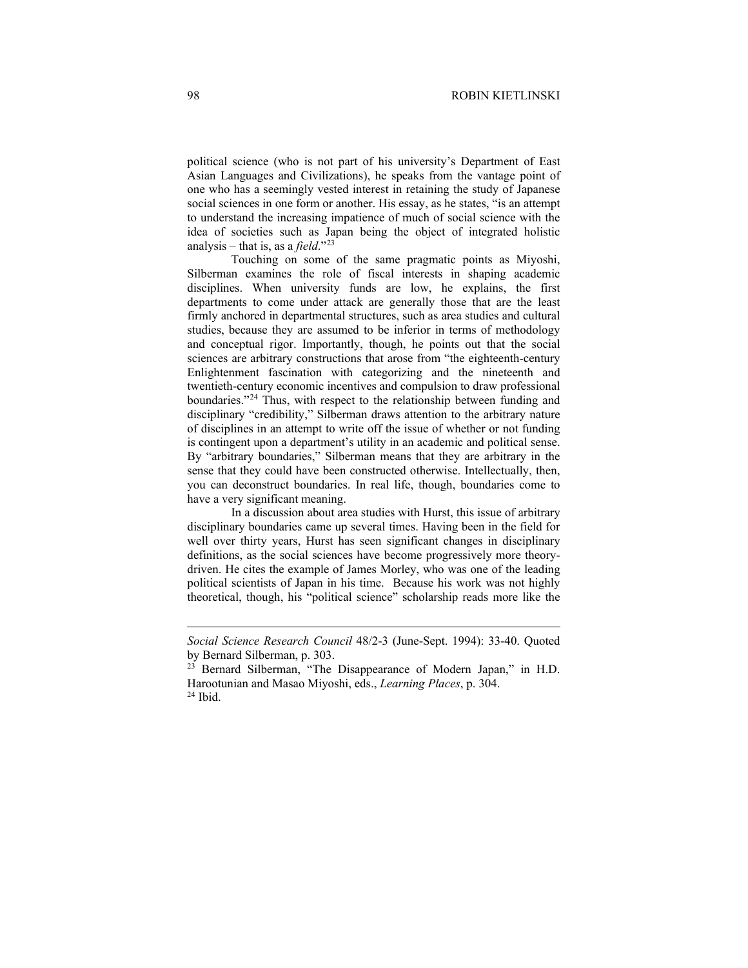political science (who is not part of his university's Department of East Asian Languages and Civilizations), he speaks from the vantage point of one who has a seemingly vested interest in retaining the study of Japanese social sciences in one form or another. His essay, as he states, "is an attempt to understand the increasing impatience of much of social science with the idea of societies such as Japan being the object of integrated holistic analysis – that is, as a *field*."[23](#page-7-0)

Touching on some of the same pragmatic points as Miyoshi, Silberman examines the role of fiscal interests in shaping academic disciplines. When university funds are low, he explains, the first departments to come under attack are generally those that are the least firmly anchored in departmental structures, such as area studies and cultural studies, because they are assumed to be inferior in terms of methodology and conceptual rigor. Importantly, though, he points out that the social sciences are arbitrary constructions that arose from "the eighteenth-century Enlightenment fascination with categorizing and the nineteenth and twentieth-century economic incentives and compulsion to draw professional boundaries."[24](#page-7-1) Thus, with respect to the relationship between funding and disciplinary "credibility," Silberman draws attention to the arbitrary nature of disciplines in an attempt to write off the issue of whether or not funding is contingent upon a department's utility in an academic and political sense. By "arbitrary boundaries," Silberman means that they are arbitrary in the sense that they could have been constructed otherwise. Intellectually, then, you can deconstruct boundaries. In real life, though, boundaries come to have a very significant meaning.

In a discussion about area studies with Hurst, this issue of arbitrary disciplinary boundaries came up several times. Having been in the field for well over thirty years, Hurst has seen significant changes in disciplinary definitions, as the social sciences have become progressively more theorydriven. He cites the example of James Morley, who was one of the leading political scientists of Japan in his time. Because his work was not highly theoretical, though, his "political science" scholarship reads more like the

*Social Science Research Council* 48/2-3 (June-Sept. 1994): 33-40. Quoted by Bernard Silberman, p. 303.<br><sup>23</sup> Bernard Silberman, "The Disappearance of Modern Japan," in H.D.

<span id="page-7-0"></span>Harootunian and Masao Miyoshi, eds., *Learning Places*, p. 304.

<span id="page-7-1"></span><sup>24</sup> Ibid.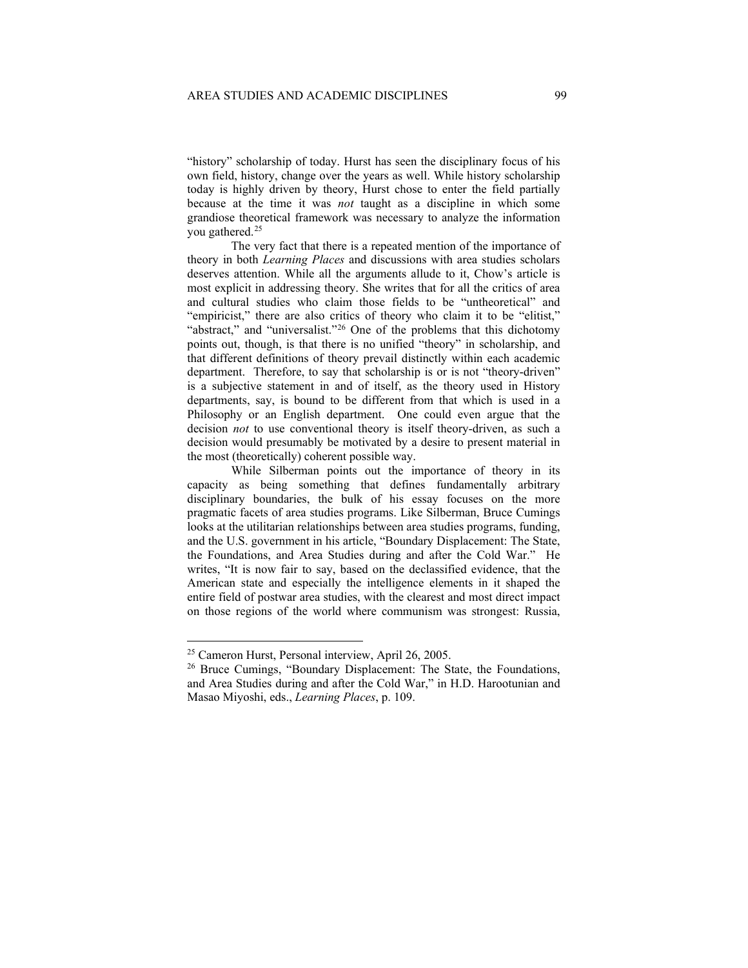"history" scholarship of today. Hurst has seen the disciplinary focus of his own field, history, change over the years as well. While history scholarship today is highly driven by theory, Hurst chose to enter the field partially because at the time it was *not* taught as a discipline in which some grandiose theoretical framework was necessary to analyze the information you gathered.[25](#page-8-0) 

The very fact that there is a repeated mention of the importance of theory in both *Learning Places* and discussions with area studies scholars deserves attention. While all the arguments allude to it, Chow's article is most explicit in addressing theory. She writes that for all the critics of area and cultural studies who claim those fields to be "untheoretical" and "empiricist," there are also critics of theory who claim it to be "elitist," "abstract," and "universalist."<sup>[26](#page-8-1)</sup> One of the problems that this dichotomy points out, though, is that there is no unified "theory" in scholarship, and that different definitions of theory prevail distinctly within each academic department. Therefore, to say that scholarship is or is not "theory-driven" is a subjective statement in and of itself, as the theory used in History departments, say, is bound to be different from that which is used in a Philosophy or an English department. One could even argue that the decision *not* to use conventional theory is itself theory-driven, as such a decision would presumably be motivated by a desire to present material in the most (theoretically) coherent possible way.

While Silberman points out the importance of theory in its capacity as being something that defines fundamentally arbitrary disciplinary boundaries, the bulk of his essay focuses on the more pragmatic facets of area studies programs. Like Silberman, Bruce Cumings looks at the utilitarian relationships between area studies programs, funding, and the U.S. government in his article, "Boundary Displacement: The State, the Foundations, and Area Studies during and after the Cold War." He writes, "It is now fair to say, based on the declassified evidence, that the American state and especially the intelligence elements in it shaped the entire field of postwar area studies, with the clearest and most direct impact on those regions of the world where communism was strongest: Russia,

<span id="page-8-0"></span><sup>25</sup> Cameron Hurst, Personal interview, April 26, 2005.

<span id="page-8-1"></span><sup>&</sup>lt;sup>26</sup> Bruce Cumings, "Boundary Displacement: The State, the Foundations, and Area Studies during and after the Cold War," in H.D. Harootunian and Masao Miyoshi, eds., *Learning Places*, p. 109.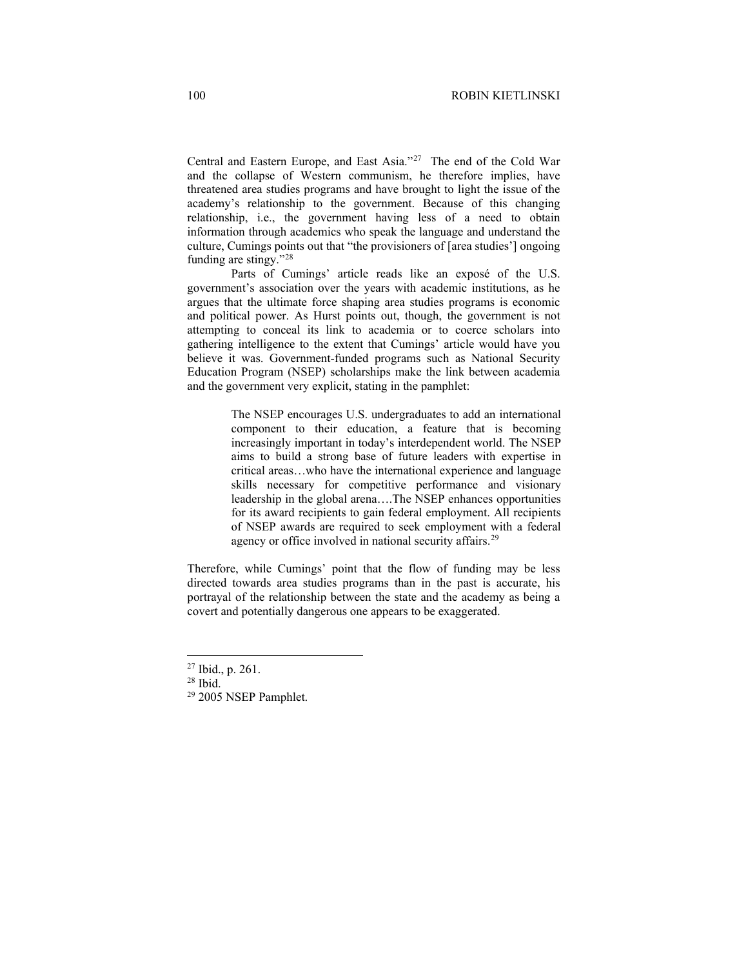Central and Eastern Europe, and East Asia."[27](#page-9-0) The end of the Cold War and the collapse of Western communism, he therefore implies, have threatened area studies programs and have brought to light the issue of the academy's relationship to the government. Because of this changing relationship, i.e., the government having less of a need to obtain information through academics who speak the language and understand the culture, Cumings points out that "the provisioners of [area studies'] ongoing funding are stingy."[28](#page-9-1)

Parts of Cumings' article reads like an exposé of the U.S. government's association over the years with academic institutions, as he argues that the ultimate force shaping area studies programs is economic and political power. As Hurst points out, though, the government is not attempting to conceal its link to academia or to coerce scholars into gathering intelligence to the extent that Cumings' article would have you believe it was. Government-funded programs such as National Security Education Program (NSEP) scholarships make the link between academia and the government very explicit, stating in the pamphlet:

> The NSEP encourages U.S. undergraduates to add an international component to their education, a feature that is becoming increasingly important in today's interdependent world. The NSEP aims to build a strong base of future leaders with expertise in critical areas…who have the international experience and language skills necessary for competitive performance and visionary leadership in the global arena….The NSEP enhances opportunities for its award recipients to gain federal employment. All recipients of NSEP awards are required to seek employment with a federal agency or office involved in national security affairs.<sup>[29](#page-9-2)</sup>

Therefore, while Cumings' point that the flow of funding may be less directed towards area studies programs than in the past is accurate, his portrayal of the relationship between the state and the academy as being a covert and potentially dangerous one appears to be exaggerated.

<span id="page-9-0"></span><sup>27</sup> Ibid., p. 261.

<span id="page-9-1"></span> $28$  Ibid.

<span id="page-9-2"></span><sup>29</sup> 2005 NSEP Pamphlet.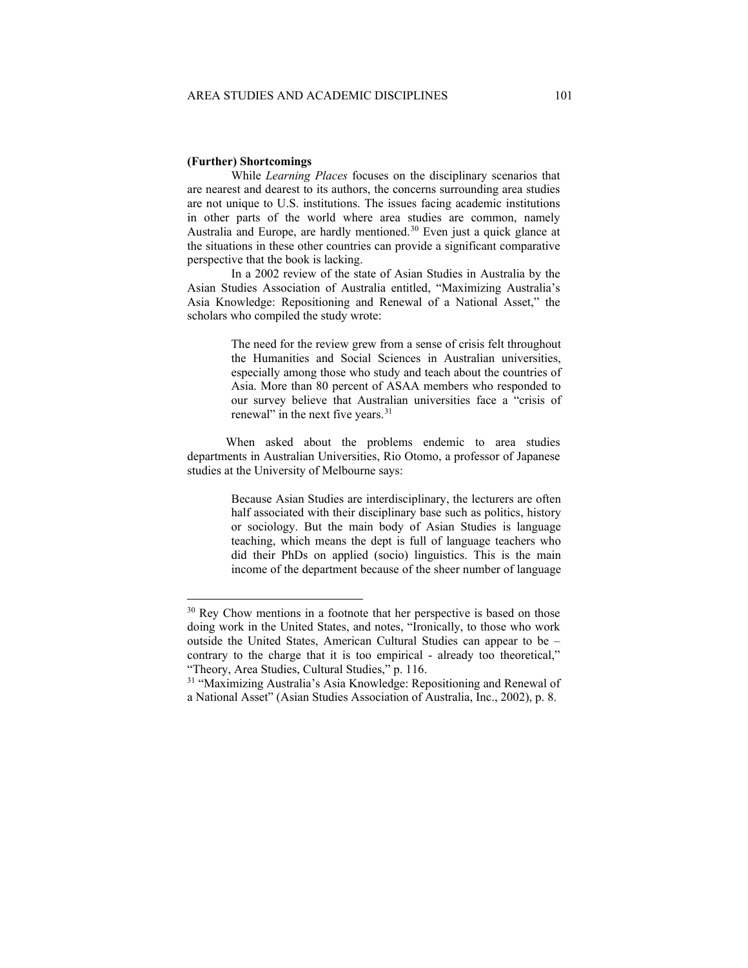## **(Further) Shortcomings**

While *Learning Places* focuses on the disciplinary scenarios that are nearest and dearest to its authors, the concerns surrounding area studies are not unique to U.S. institutions. The issues facing academic institutions in other parts of the world where area studies are common, namely Australia and Europe, are hardly mentioned.<sup>[30](#page-10-0)</sup> Even just a quick glance at the situations in these other countries can provide a significant comparative perspective that the book is lacking.

In a 2002 review of the state of Asian Studies in Australia by the Asian Studies Association of Australia entitled, "Maximizing Australia's Asia Knowledge: Repositioning and Renewal of a National Asset," the scholars who compiled the study wrote:

> The need for the review grew from a sense of crisis felt throughout the Humanities and Social Sciences in Australian universities, especially among those who study and teach about the countries of Asia. More than 80 percent of ASAA members who responded to our survey believe that Australian universities face a "crisis of renewal" in the next five years.<sup>[31](#page-10-1)</sup>

When asked about the problems endemic to area studies departments in Australian Universities, Rio Otomo, a professor of Japanese studies at the University of Melbourne says:

> Because Asian Studies are interdisciplinary, the lecturers are often half associated with their disciplinary base such as politics, history or sociology. But the main body of Asian Studies is language teaching, which means the dept is full of language teachers who did their PhDs on applied (socio) linguistics. This is the main income of the department because of the sheer number of language

<span id="page-10-0"></span><sup>&</sup>lt;sup>30</sup> Rey Chow mentions in a footnote that her perspective is based on those doing work in the United States, and notes, "Ironically, to those who work outside the United States, American Cultural Studies can appear to be – contrary to the charge that it is too empirical - already too theoretical," "Theory, Area Studies, Cultural Studies," p. 116.

<span id="page-10-1"></span><sup>&</sup>lt;sup>31</sup> "Maximizing Australia's Asia Knowledge: Repositioning and Renewal of a National Asset" (Asian Studies Association of Australia, Inc., 2002), p. 8.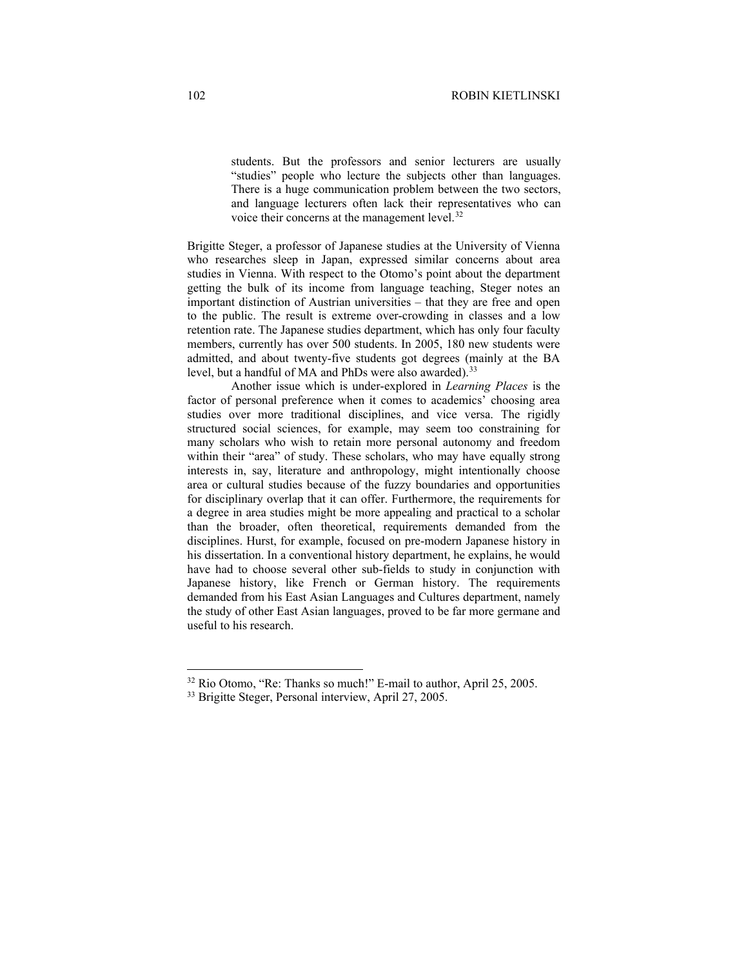students. But the professors and senior lecturers are usually "studies" people who lecture the subjects other than languages. There is a huge communication problem between the two sectors, and language lecturers often lack their representatives who can voice their concerns at the management level.<sup>[32](#page-11-0)</sup>

Brigitte Steger, a professor of Japanese studies at the University of Vienna who researches sleep in Japan, expressed similar concerns about area studies in Vienna. With respect to the Otomo's point about the department getting the bulk of its income from language teaching, Steger notes an important distinction of Austrian universities – that they are free and open to the public. The result is extreme over-crowding in classes and a low retention rate. The Japanese studies department, which has only four faculty members, currently has over 500 students. In 2005, 180 new students were admitted, and about twenty-five students got degrees (mainly at the BA level, but a handful of MA and PhDs were also awarded).<sup>[33](#page-11-1)</sup>

Another issue which is under-explored in *Learning Places* is the factor of personal preference when it comes to academics' choosing area studies over more traditional disciplines, and vice versa. The rigidly structured social sciences, for example, may seem too constraining for many scholars who wish to retain more personal autonomy and freedom within their "area" of study. These scholars, who may have equally strong interests in, say, literature and anthropology, might intentionally choose area or cultural studies because of the fuzzy boundaries and opportunities for disciplinary overlap that it can offer. Furthermore, the requirements for a degree in area studies might be more appealing and practical to a scholar than the broader, often theoretical, requirements demanded from the disciplines. Hurst, for example, focused on pre-modern Japanese history in his dissertation. In a conventional history department, he explains, he would have had to choose several other sub-fields to study in conjunction with Japanese history, like French or German history. The requirements demanded from his East Asian Languages and Cultures department, namely the study of other East Asian languages, proved to be far more germane and useful to his research.

<span id="page-11-0"></span><sup>&</sup>lt;sup>32</sup> Rio Otomo, "Re: Thanks so much!" E-mail to author, April 25, 2005.

<span id="page-11-1"></span><sup>33</sup> Brigitte Steger, Personal interview, April 27, 2005.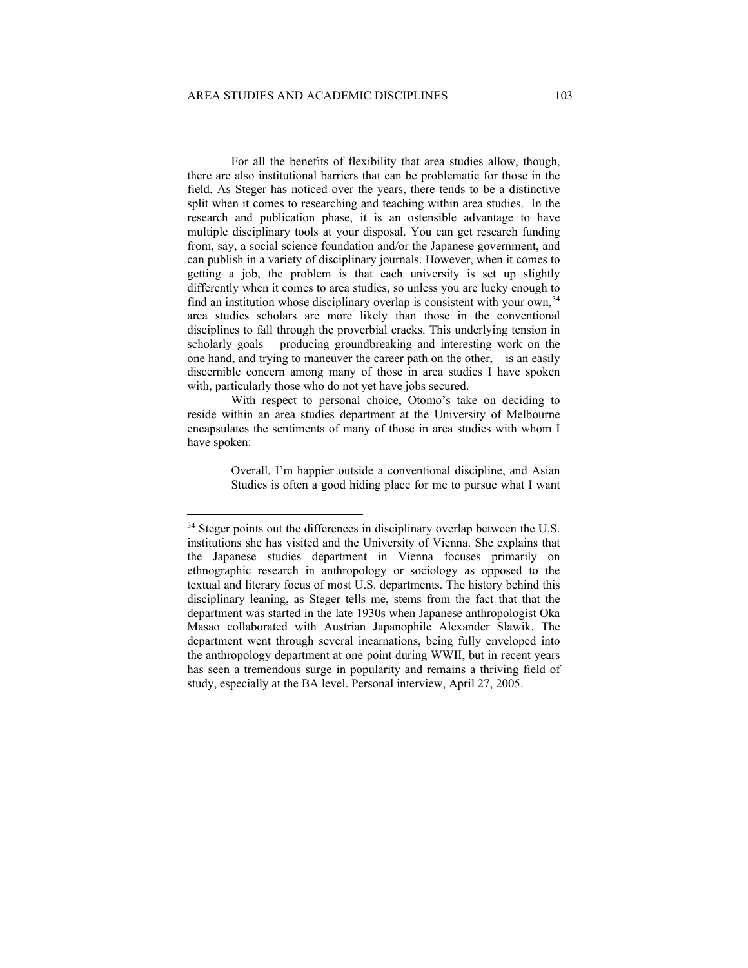For all the benefits of flexibility that area studies allow, though, there are also institutional barriers that can be problematic for those in the field. As Steger has noticed over the years, there tends to be a distinctive split when it comes to researching and teaching within area studies. In the research and publication phase, it is an ostensible advantage to have multiple disciplinary tools at your disposal. You can get research funding from, say, a social science foundation and/or the Japanese government, and can publish in a variety of disciplinary journals. However, when it comes to getting a job, the problem is that each university is set up slightly differently when it comes to area studies, so unless you are lucky enough to find an institution whose disciplinary overlap is consistent with your own,<sup>[34](#page-12-0)</sup> area studies scholars are more likely than those in the conventional disciplines to fall through the proverbial cracks. This underlying tension in scholarly goals – producing groundbreaking and interesting work on the one hand, and trying to maneuver the career path on the other,  $-$  is an easily discernible concern among many of those in area studies I have spoken with, particularly those who do not yet have jobs secured.

With respect to personal choice, Otomo's take on deciding to reside within an area studies department at the University of Melbourne encapsulates the sentiments of many of those in area studies with whom I have spoken:

> Overall, I'm happier outside a conventional discipline, and Asian Studies is often a good hiding place for me to pursue what I want

<span id="page-12-0"></span><sup>&</sup>lt;sup>34</sup> Steger points out the differences in disciplinary overlap between the U.S. institutions she has visited and the University of Vienna. She explains that the Japanese studies department in Vienna focuses primarily on ethnographic research in anthropology or sociology as opposed to the textual and literary focus of most U.S. departments. The history behind this disciplinary leaning, as Steger tells me, stems from the fact that that the department was started in the late 1930s when Japanese anthropologist Oka Masao collaborated with Austrian Japanophile Alexander Slawik. The department went through several incarnations, being fully enveloped into the anthropology department at one point during WWII, but in recent years has seen a tremendous surge in popularity and remains a thriving field of study, especially at the BA level. Personal interview, April 27, 2005.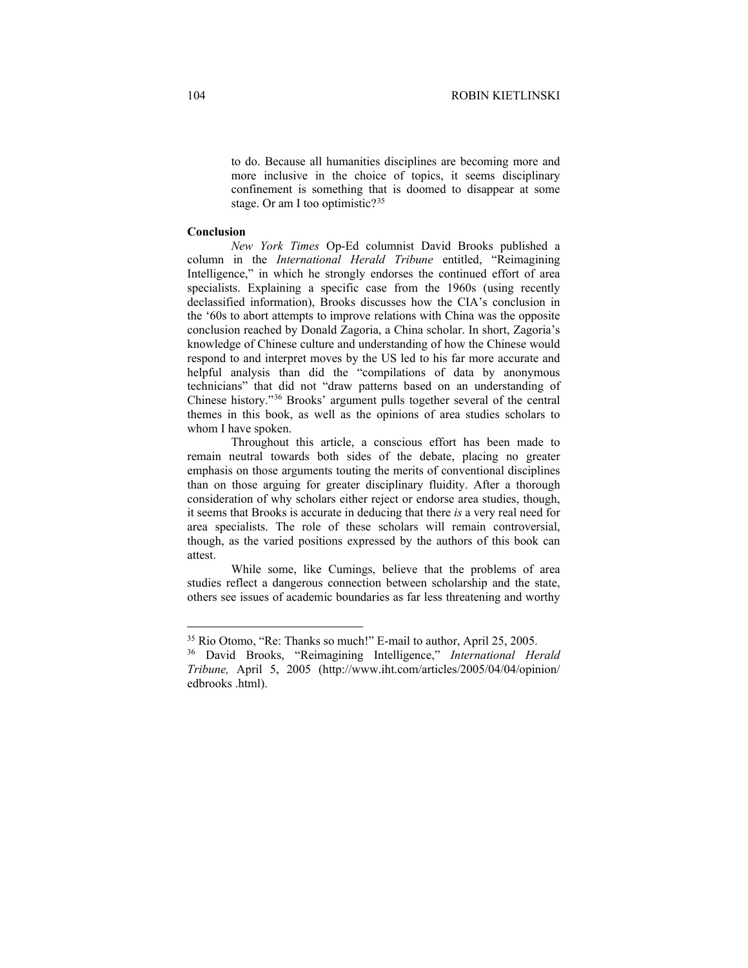to do. Because all humanities disciplines are becoming more and more inclusive in the choice of topics, it seems disciplinary confinement is something that is doomed to disappear at some stage. Or am I too optimistic?<sup>[35](#page-13-0)</sup>

## **Conclusion**

*New York Times* Op-Ed columnist David Brooks published a column in the *International Herald Tribune* entitled, "Reimagining Intelligence," in which he strongly endorses the continued effort of area specialists. Explaining a specific case from the 1960s (using recently declassified information), Brooks discusses how the CIA's conclusion in the '60s to abort attempts to improve relations with China was the opposite conclusion reached by Donald Zagoria, a China scholar. In short, Zagoria's knowledge of Chinese culture and understanding of how the Chinese would respond to and interpret moves by the US led to his far more accurate and helpful analysis than did the "compilations of data by anonymous technicians" that did not "draw patterns based on an understanding of Chinese history.["36](#page-13-1) Brooks' argument pulls together several of the central themes in this book, as well as the opinions of area studies scholars to whom I have spoken.

Throughout this article, a conscious effort has been made to remain neutral towards both sides of the debate, placing no greater emphasis on those arguments touting the merits of conventional disciplines than on those arguing for greater disciplinary fluidity. After a thorough consideration of why scholars either reject or endorse area studies, though, it seems that Brooks is accurate in deducing that there *is* a very real need for area specialists. The role of these scholars will remain controversial, though, as the varied positions expressed by the authors of this book can attest.

While some, like Cumings, believe that the problems of area studies reflect a dangerous connection between scholarship and the state, others see issues of academic boundaries as far less threatening and worthy

<span id="page-13-0"></span><sup>35</sup> Rio Otomo, "Re: Thanks so much!" E-mail to author, April 25, 2005. 36 David Brooks, "Reimagining Intelligence," *International Herald* 

<span id="page-13-1"></span>*Tribune,* April 5, 2005 (http://www.iht.com/articles/2005/04/04/opinion/ edbrooks .html).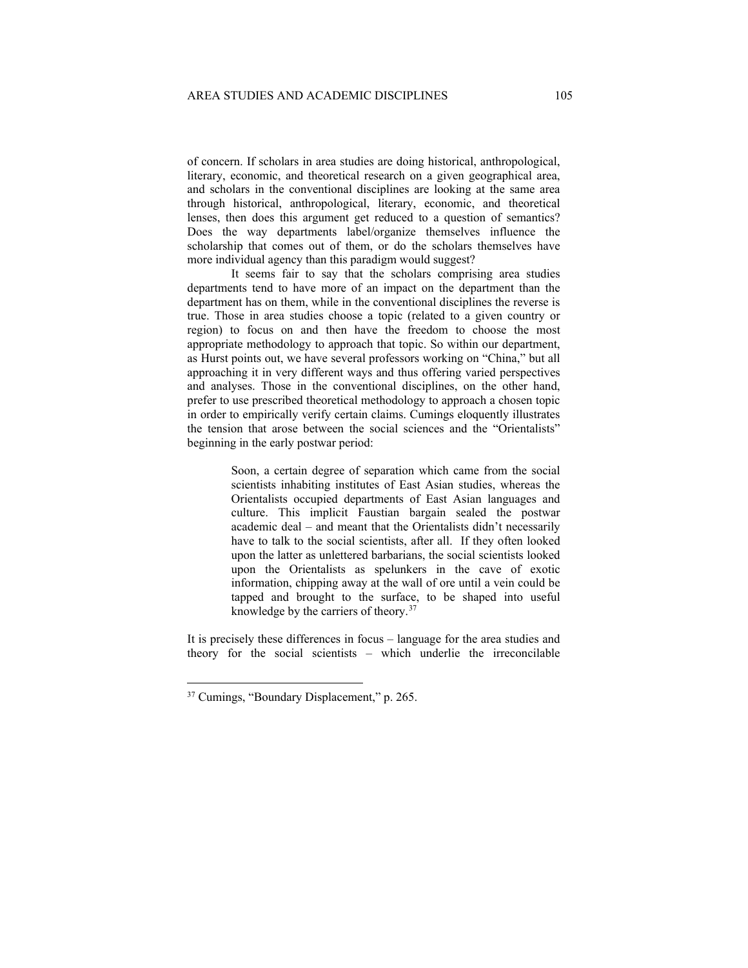of concern. If scholars in area studies are doing historical, anthropological, literary, economic, and theoretical research on a given geographical area, and scholars in the conventional disciplines are looking at the same area through historical, anthropological, literary, economic, and theoretical lenses, then does this argument get reduced to a question of semantics? Does the way departments label/organize themselves influence the scholarship that comes out of them, or do the scholars themselves have more individual agency than this paradigm would suggest?

It seems fair to say that the scholars comprising area studies departments tend to have more of an impact on the department than the department has on them, while in the conventional disciplines the reverse is true. Those in area studies choose a topic (related to a given country or region) to focus on and then have the freedom to choose the most appropriate methodology to approach that topic. So within our department, as Hurst points out, we have several professors working on "China," but all approaching it in very different ways and thus offering varied perspectives and analyses. Those in the conventional disciplines, on the other hand, prefer to use prescribed theoretical methodology to approach a chosen topic in order to empirically verify certain claims. Cumings eloquently illustrates the tension that arose between the social sciences and the "Orientalists" beginning in the early postwar period:

> Soon, a certain degree of separation which came from the social scientists inhabiting institutes of East Asian studies, whereas the Orientalists occupied departments of East Asian languages and culture. This implicit Faustian bargain sealed the postwar academic deal – and meant that the Orientalists didn't necessarily have to talk to the social scientists, after all. If they often looked upon the latter as unlettered barbarians, the social scientists looked upon the Orientalists as spelunkers in the cave of exotic information, chipping away at the wall of ore until a vein could be tapped and brought to the surface, to be shaped into useful knowledge by the carriers of theory.[37](#page-14-0)

It is precisely these differences in focus – language for the area studies and theory for the social scientists – which underlie the irreconcilable

<span id="page-14-0"></span><sup>37</sup> Cumings, "Boundary Displacement," p. 265.